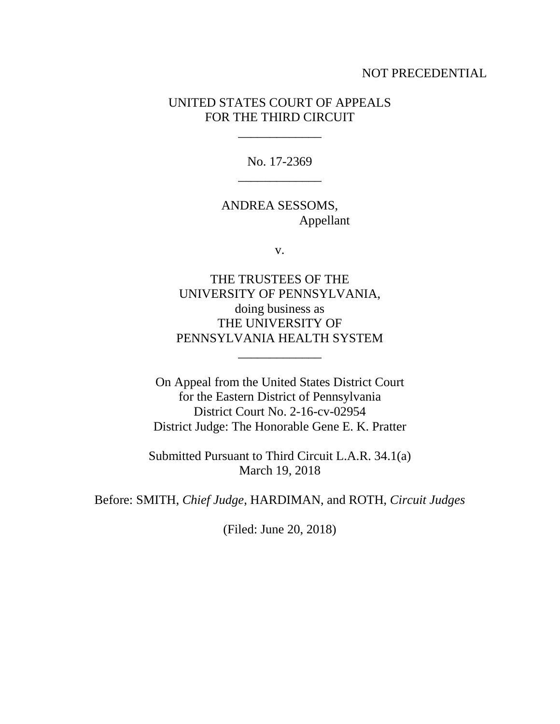## NOT PRECEDENTIAL

## UNITED STATES COURT OF APPEALS FOR THE THIRD CIRCUIT

\_\_\_\_\_\_\_\_\_\_\_\_\_

No. 17-2369 \_\_\_\_\_\_\_\_\_\_\_\_\_

ANDREA SESSOMS, Appellant

v.

THE TRUSTEES OF THE UNIVERSITY OF PENNSYLVANIA, doing business as THE UNIVERSITY OF PENNSYLVANIA HEALTH SYSTEM

\_\_\_\_\_\_\_\_\_\_\_\_\_

On Appeal from the United States District Court for the Eastern District of Pennsylvania District Court No. 2-16-cv-02954 District Judge: The Honorable Gene E. K. Pratter

Submitted Pursuant to Third Circuit L.A.R. 34.1(a) March 19, 2018

Before: SMITH, *Chief Judge*, HARDIMAN, and ROTH, *Circuit Judges*

(Filed: June 20, 2018)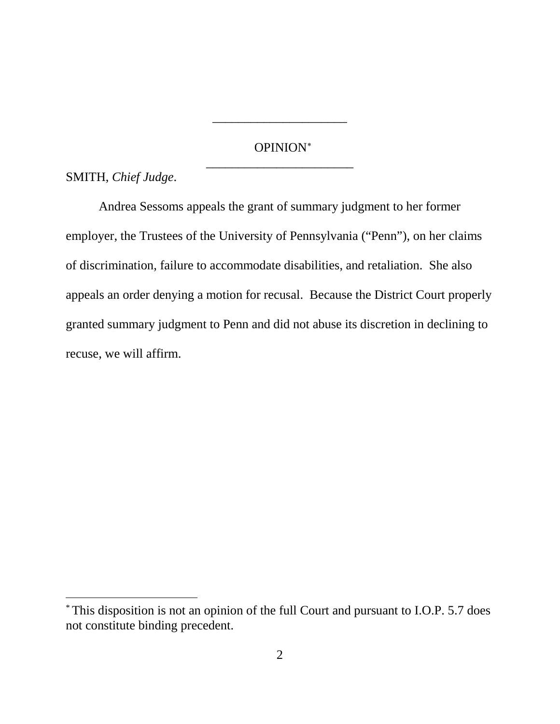# OPINION<sup>∗</sup> \_\_\_\_\_\_\_\_\_\_\_\_\_\_\_\_\_\_\_\_\_\_\_

\_\_\_\_\_\_\_\_\_\_\_\_\_\_\_\_\_\_\_\_\_

SMITH, *Chief Judge*.

Andrea Sessoms appeals the grant of summary judgment to her former employer, the Trustees of the University of Pennsylvania ("Penn"), on her claims of discrimination, failure to accommodate disabilities, and retaliation. She also appeals an order denying a motion for recusal. Because the District Court properly granted summary judgment to Penn and did not abuse its discretion in declining to recuse, we will affirm.

 <sup>\*</sup> This disposition is not an opinion of the full Court and pursuant to I.O.P. 5.7 does not constitute binding precedent.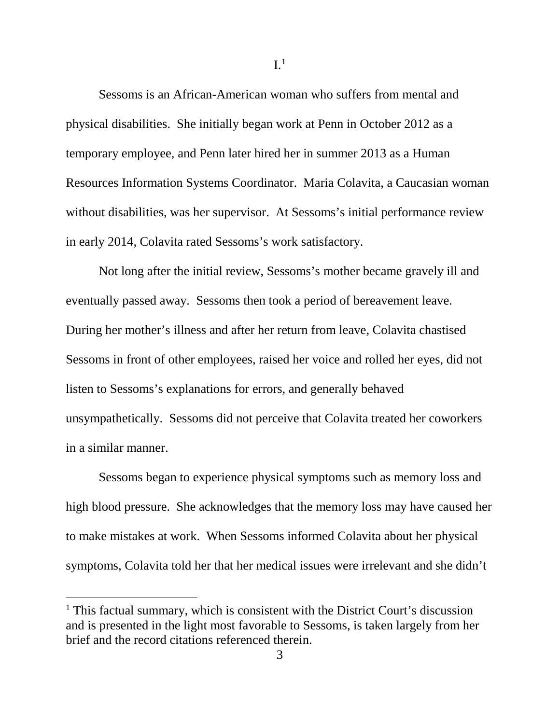Sessoms is an African-American woman who suffers from mental and physical disabilities. She initially began work at Penn in October 2012 as a temporary employee, and Penn later hired her in summer 2013 as a Human Resources Information Systems Coordinator. Maria Colavita, a Caucasian woman without disabilities, was her supervisor. At Sessoms's initial performance review in early 2014, Colavita rated Sessoms's work satisfactory.

Not long after the initial review, Sessoms's mother became gravely ill and eventually passed away. Sessoms then took a period of bereavement leave. During her mother's illness and after her return from leave, Colavita chastised Sessoms in front of other employees, raised her voice and rolled her eyes, did not listen to Sessoms's explanations for errors, and generally behaved unsympathetically. Sessoms did not perceive that Colavita treated her coworkers in a similar manner.

Sessoms began to experience physical symptoms such as memory loss and high blood pressure. She acknowledges that the memory loss may have caused her to make mistakes at work. When Sessoms informed Colavita about her physical symptoms, Colavita told her that her medical issues were irrelevant and she didn't

<sup>&</sup>lt;sup>1</sup> This factual summary, which is consistent with the District Court's discussion and is presented in the light most favorable to Sessoms, is taken largely from her brief and the record citations referenced therein.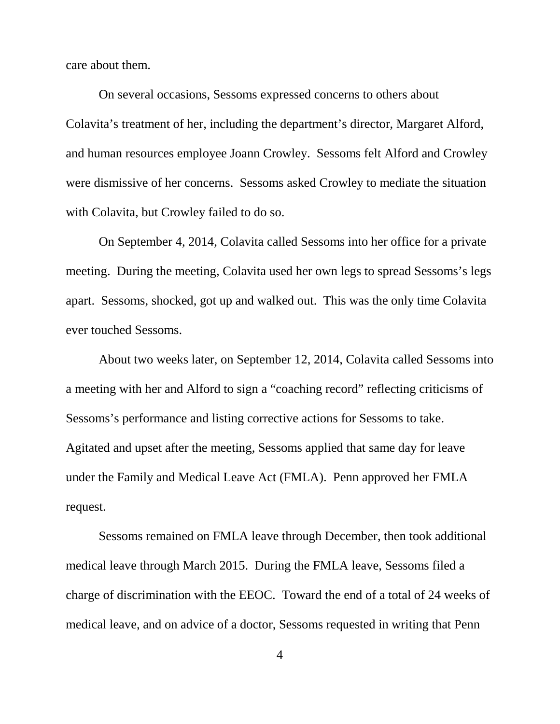care about them.

On several occasions, Sessoms expressed concerns to others about Colavita's treatment of her, including the department's director, Margaret Alford, and human resources employee Joann Crowley. Sessoms felt Alford and Crowley were dismissive of her concerns. Sessoms asked Crowley to mediate the situation with Colavita, but Crowley failed to do so.

On September 4, 2014, Colavita called Sessoms into her office for a private meeting. During the meeting, Colavita used her own legs to spread Sessoms's legs apart. Sessoms, shocked, got up and walked out. This was the only time Colavita ever touched Sessoms.

About two weeks later, on September 12, 2014, Colavita called Sessoms into a meeting with her and Alford to sign a "coaching record" reflecting criticisms of Sessoms's performance and listing corrective actions for Sessoms to take. Agitated and upset after the meeting, Sessoms applied that same day for leave under the Family and Medical Leave Act (FMLA). Penn approved her FMLA request.

Sessoms remained on FMLA leave through December, then took additional medical leave through March 2015. During the FMLA leave, Sessoms filed a charge of discrimination with the EEOC. Toward the end of a total of 24 weeks of medical leave, and on advice of a doctor, Sessoms requested in writing that Penn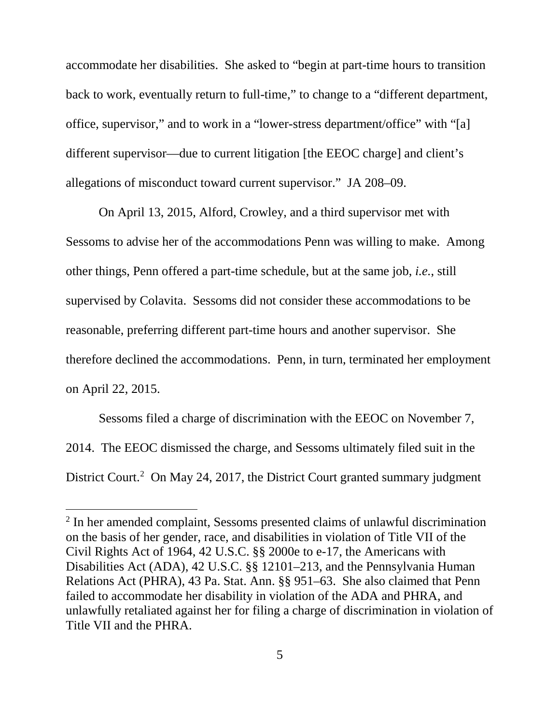accommodate her disabilities. She asked to "begin at part-time hours to transition back to work, eventually return to full-time," to change to a "different department, office, supervisor," and to work in a "lower-stress department/office" with "[a] different supervisor—due to current litigation [the EEOC charge] and client's allegations of misconduct toward current supervisor." JA 208–09.

On April 13, 2015, Alford, Crowley, and a third supervisor met with Sessoms to advise her of the accommodations Penn was willing to make. Among other things, Penn offered a part-time schedule, but at the same job, *i.e.*, still supervised by Colavita. Sessoms did not consider these accommodations to be reasonable, preferring different part-time hours and another supervisor. She therefore declined the accommodations. Penn, in turn, terminated her employment on April 22, 2015.

Sessoms filed a charge of discrimination with the EEOC on November 7, 2014. The EEOC dismissed the charge, and Sessoms ultimately filed suit in the District Court.<sup>2</sup> On May 24, 2017, the District Court granted summary judgment

 <sup>2</sup> In her amended complaint, Sessoms presented claims of unlawful discrimination on the basis of her gender, race, and disabilities in violation of Title VII of the Civil Rights Act of 1964, 42 U.S.C. §§ 2000e to e-17, the Americans with Disabilities Act (ADA), 42 U.S.C. §§ 12101–213, and the Pennsylvania Human Relations Act (PHRA), 43 Pa. Stat. Ann. §§ 951–63. She also claimed that Penn failed to accommodate her disability in violation of the ADA and PHRA, and unlawfully retaliated against her for filing a charge of discrimination in violation of Title VII and the PHRA.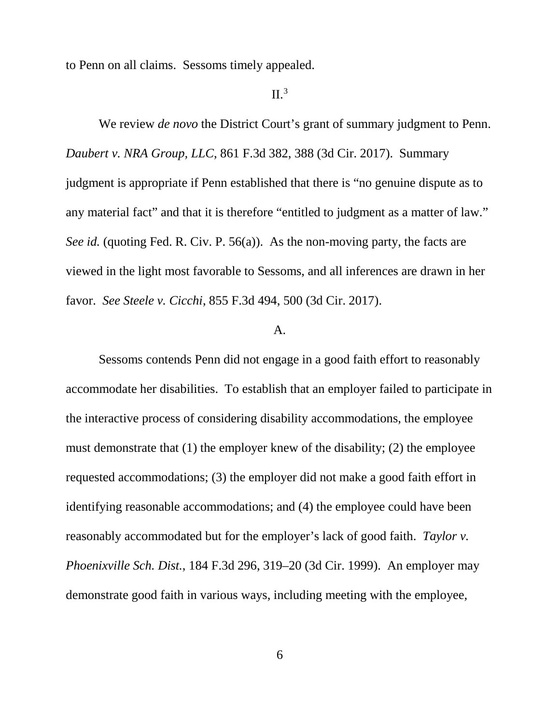to Penn on all claims. Sessoms timely appealed.

## $II.<sup>3</sup>$

We review *de novo* the District Court's grant of summary judgment to Penn. *Daubert v. NRA Group, LLC*, 861 F.3d 382, 388 (3d Cir. 2017). Summary judgment is appropriate if Penn established that there is "no genuine dispute as to any material fact" and that it is therefore "entitled to judgment as a matter of law." *See id.* (quoting Fed. R. Civ. P. 56(a)). As the non-moving party, the facts are viewed in the light most favorable to Sessoms, and all inferences are drawn in her favor. *See Steele v. Cicchi*, 855 F.3d 494, 500 (3d Cir. 2017).

#### A.

Sessoms contends Penn did not engage in a good faith effort to reasonably accommodate her disabilities. To establish that an employer failed to participate in the interactive process of considering disability accommodations, the employee must demonstrate that (1) the employer knew of the disability; (2) the employee requested accommodations; (3) the employer did not make a good faith effort in identifying reasonable accommodations; and (4) the employee could have been reasonably accommodated but for the employer's lack of good faith. *Taylor v. Phoenixville Sch. Dist.*, 184 F.3d 296, 319–20 (3d Cir. 1999). An employer may demonstrate good faith in various ways, including meeting with the employee,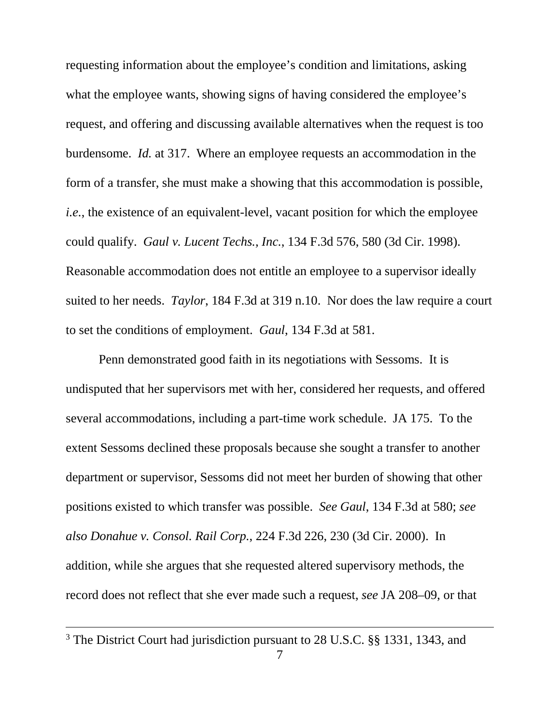requesting information about the employee's condition and limitations, asking what the employee wants, showing signs of having considered the employee's request, and offering and discussing available alternatives when the request is too burdensome. *Id.* at 317. Where an employee requests an accommodation in the form of a transfer, she must make a showing that this accommodation is possible, *i.e.*, the existence of an equivalent-level, vacant position for which the employee could qualify. *Gaul v. Lucent Techs., Inc.*, 134 F.3d 576, 580 (3d Cir. 1998). Reasonable accommodation does not entitle an employee to a supervisor ideally suited to her needs. *Taylor*, 184 F.3d at 319 n.10. Nor does the law require a court to set the conditions of employment. *Gaul*, 134 F.3d at 581.

Penn demonstrated good faith in its negotiations with Sessoms. It is undisputed that her supervisors met with her, considered her requests, and offered several accommodations, including a part-time work schedule. JA 175. To the extent Sessoms declined these proposals because she sought a transfer to another department or supervisor, Sessoms did not meet her burden of showing that other positions existed to which transfer was possible. *See Gaul*, 134 F.3d at 580; *see also Donahue v. Consol. Rail Corp.*, 224 F.3d 226, 230 (3d Cir. 2000). In addition, while she argues that she requested altered supervisory methods, the record does not reflect that she ever made such a request, *see* JA 208–09, or that

 <sup>3</sup> The District Court had jurisdiction pursuant to 28 U.S.C. §§ 1331, 1343, and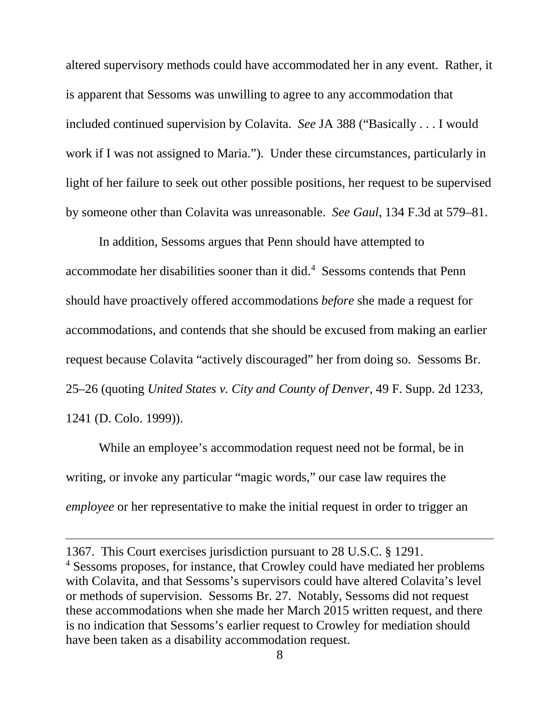altered supervisory methods could have accommodated her in any event. Rather, it is apparent that Sessoms was unwilling to agree to any accommodation that included continued supervision by Colavita. *See* JA 388 ("Basically . . . I would work if I was not assigned to Maria."). Under these circumstances, particularly in light of her failure to seek out other possible positions, her request to be supervised by someone other than Colavita was unreasonable. *See Gaul*, 134 F.3d at 579–81.

In addition, Sessoms argues that Penn should have attempted to  $accommodate$  her disabilities sooner than it did. $4$  Sessoms contends that Penn should have proactively offered accommodations *before* she made a request for accommodations, and contends that she should be excused from making an earlier request because Colavita "actively discouraged" her from doing so. Sessoms Br. 25–26 (quoting *United States v. City and County of Denver*, 49 F. Supp. 2d 1233, 1241 (D. Colo. 1999)).

While an employee's accommodation request need not be formal, be in writing, or invoke any particular "magic words," our case law requires the *employee* or her representative to make the initial request in order to trigger an

 $\overline{a}$ 

<sup>1367.</sup> This Court exercises jurisdiction pursuant to 28 U.S.C. § 1291. <sup>4</sup> Sessoms proposes, for instance, that Crowley could have mediated her problems with Colavita, and that Sessoms's supervisors could have altered Colavita's level or methods of supervision. Sessoms Br. 27. Notably, Sessoms did not request these accommodations when she made her March 2015 written request, and there is no indication that Sessoms's earlier request to Crowley for mediation should have been taken as a disability accommodation request.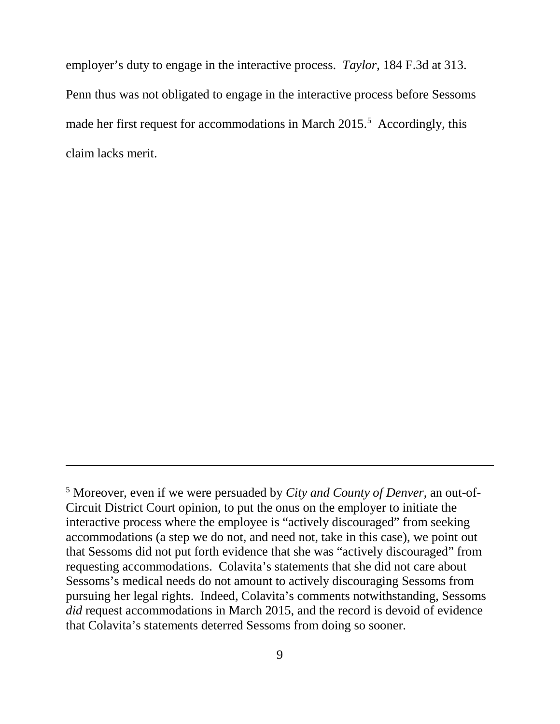employer's duty to engage in the interactive process. *Taylor*, 184 F.3d at 313. Penn thus was not obligated to engage in the interactive process before Sessoms made her first request for accommodations in March 2015.<sup>5</sup> Accordingly, this claim lacks merit.

 $\overline{a}$ 

<sup>5</sup> Moreover, even if we were persuaded by *City and County of Denver*, an out-of-Circuit District Court opinion, to put the onus on the employer to initiate the interactive process where the employee is "actively discouraged" from seeking accommodations (a step we do not, and need not, take in this case), we point out that Sessoms did not put forth evidence that she was "actively discouraged" from requesting accommodations. Colavita's statements that she did not care about Sessoms's medical needs do not amount to actively discouraging Sessoms from pursuing her legal rights. Indeed, Colavita's comments notwithstanding, Sessoms *did* request accommodations in March 2015, and the record is devoid of evidence that Colavita's statements deterred Sessoms from doing so sooner.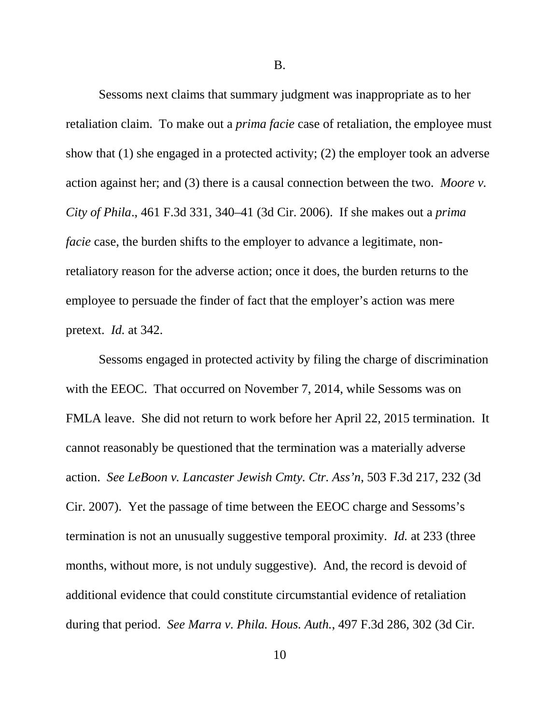B.

Sessoms next claims that summary judgment was inappropriate as to her retaliation claim. To make out a *prima facie* case of retaliation, the employee must show that (1) she engaged in a protected activity; (2) the employer took an adverse action against her; and (3) there is a causal connection between the two. *Moore v. City of Phila*., 461 F.3d 331, 340–41 (3d Cir. 2006). If she makes out a *prima facie* case, the burden shifts to the employer to advance a legitimate, nonretaliatory reason for the adverse action; once it does, the burden returns to the employee to persuade the finder of fact that the employer's action was mere pretext. *Id.* at 342.

Sessoms engaged in protected activity by filing the charge of discrimination with the EEOC. That occurred on November 7, 2014, while Sessoms was on FMLA leave. She did not return to work before her April 22, 2015 termination. It cannot reasonably be questioned that the termination was a materially adverse action. *See LeBoon v. Lancaster Jewish Cmty. Ctr. Ass'n*, 503 F.3d 217, 232 (3d Cir. 2007). Yet the passage of time between the EEOC charge and Sessoms's termination is not an unusually suggestive temporal proximity. *Id.* at 233 (three months, without more, is not unduly suggestive). And, the record is devoid of additional evidence that could constitute circumstantial evidence of retaliation during that period. *See Marra v. Phila. Hous. Auth.*, 497 F.3d 286, 302 (3d Cir.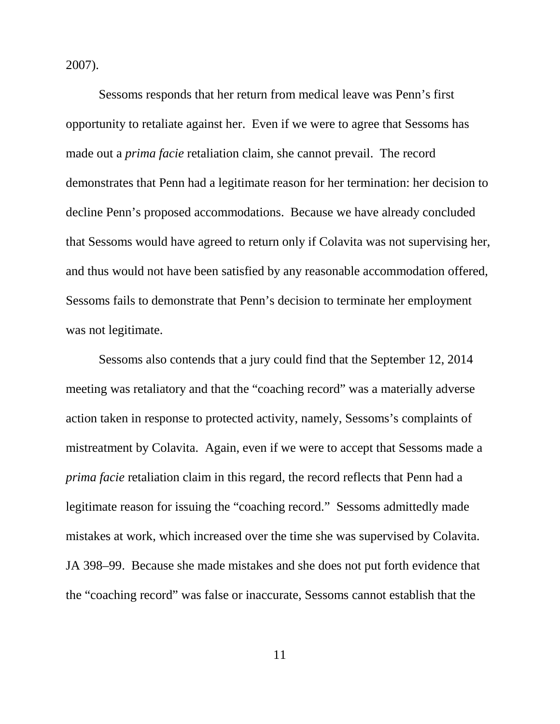2007).

Sessoms responds that her return from medical leave was Penn's first opportunity to retaliate against her. Even if we were to agree that Sessoms has made out a *prima facie* retaliation claim, she cannot prevail. The record demonstrates that Penn had a legitimate reason for her termination: her decision to decline Penn's proposed accommodations. Because we have already concluded that Sessoms would have agreed to return only if Colavita was not supervising her, and thus would not have been satisfied by any reasonable accommodation offered, Sessoms fails to demonstrate that Penn's decision to terminate her employment was not legitimate.

Sessoms also contends that a jury could find that the September 12, 2014 meeting was retaliatory and that the "coaching record" was a materially adverse action taken in response to protected activity, namely, Sessoms's complaints of mistreatment by Colavita. Again, even if we were to accept that Sessoms made a *prima facie* retaliation claim in this regard, the record reflects that Penn had a legitimate reason for issuing the "coaching record." Sessoms admittedly made mistakes at work, which increased over the time she was supervised by Colavita. JA 398–99. Because she made mistakes and she does not put forth evidence that the "coaching record" was false or inaccurate, Sessoms cannot establish that the

11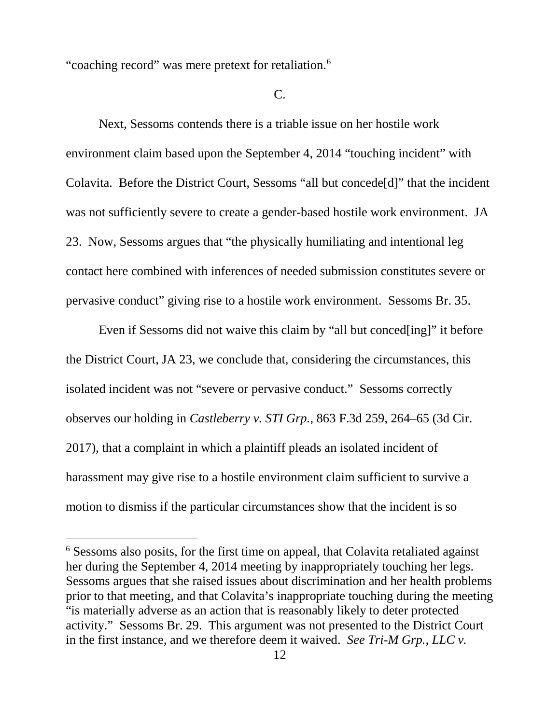"coaching record" was mere pretext for retaliation.<sup>6</sup>

C.

Next, Sessoms contends there is a triable issue on her hostile work environment claim based upon the September 4, 2014 "touching incident" with Colavita. Before the District Court, Sessoms "all but concede[d]" that the incident was not sufficiently severe to create a gender-based hostile work environment. JA 23. Now, Sessoms argues that "the physically humiliating and intentional leg contact here combined with inferences of needed submission constitutes severe or pervasive conduct" giving rise to a hostile work environment. Sessoms Br. 35.

Even if Sessoms did not waive this claim by "all but conced[ing]" it before the District Court, JA 23, we conclude that, considering the circumstances, this isolated incident was not "severe or pervasive conduct." Sessoms correctly observes our holding in *Castleberry v. STI Grp.*, 863 F.3d 259, 264–65 (3d Cir. 2017), that a complaint in which a plaintiff pleads an isolated incident of harassment may give rise to a hostile environment claim sufficient to survive a motion to dismiss if the particular circumstances show that the incident is so

 <sup>6</sup> Sessoms also posits, for the first time on appeal, that Colavita retaliated against her during the September 4, 2014 meeting by inappropriately touching her legs. Sessoms argues that she raised issues about discrimination and her health problems prior to that meeting, and that Colavita's inappropriate touching during the meeting "is materially adverse as an action that is reasonably likely to deter protected activity." Sessoms Br. 29. This argument was not presented to the District Court in the first instance, and we therefore deem it waived. *See Tri-M Grp., LLC v.*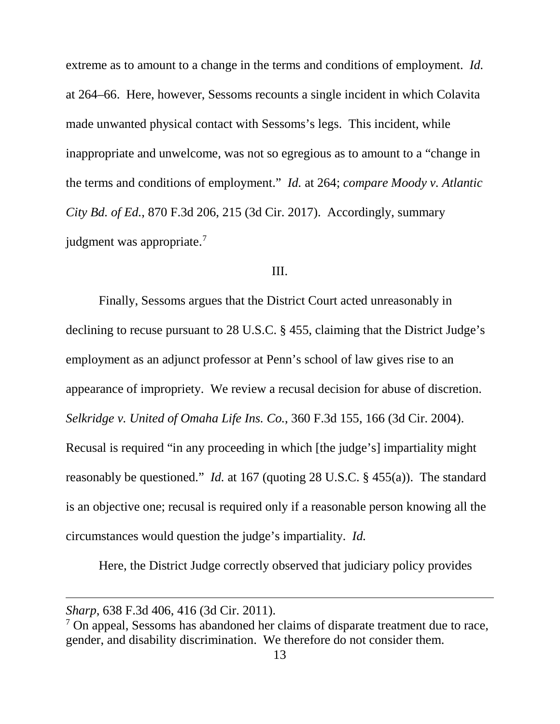extreme as to amount to a change in the terms and conditions of employment. *Id.*  at 264–66. Here, however, Sessoms recounts a single incident in which Colavita made unwanted physical contact with Sessoms's legs. This incident, while inappropriate and unwelcome, was not so egregious as to amount to a "change in the terms and conditions of employment." *Id.* at 264; *compare Moody v. Atlantic City Bd. of Ed.*, 870 F.3d 206, 215 (3d Cir. 2017). Accordingly, summary judgment was appropriate.<sup>7</sup>

#### III.

Finally, Sessoms argues that the District Court acted unreasonably in declining to recuse pursuant to 28 U.S.C. § 455, claiming that the District Judge's employment as an adjunct professor at Penn's school of law gives rise to an appearance of impropriety. We review a recusal decision for abuse of discretion. *Selkridge v. United of Omaha Life Ins. Co.*, 360 F.3d 155, 166 (3d Cir. 2004). Recusal is required "in any proceeding in which [the judge's] impartiality might reasonably be questioned." *Id.* at 167 (quoting 28 U.S.C. § 455(a)). The standard is an objective one; recusal is required only if a reasonable person knowing all the circumstances would question the judge's impartiality. *Id.*

Here, the District Judge correctly observed that judiciary policy provides

 $\overline{a}$ 

*Sharp*, 638 F.3d 406, 416 (3d Cir. 2011).

<sup>&</sup>lt;sup>7</sup> On appeal, Sessoms has abandoned her claims of disparate treatment due to race, gender, and disability discrimination. We therefore do not consider them.